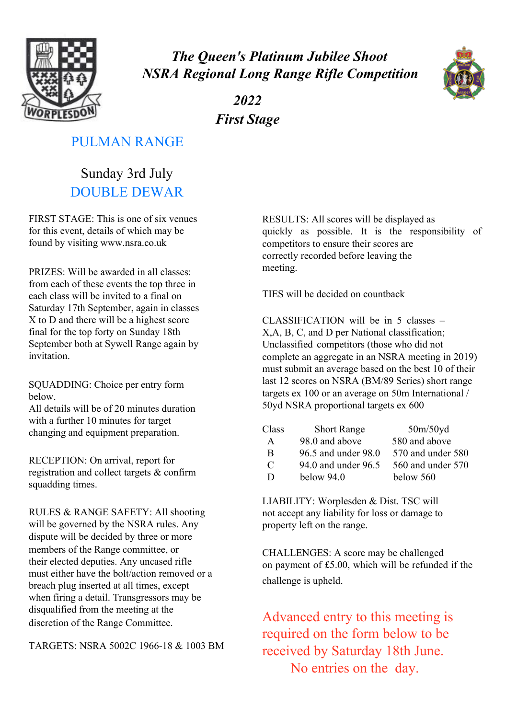

*The Queen's Platinum Jubilee Shoot NSRA Regional Long Range Rifle Competition*



*2022 First Stage*

### PULMAN RANGE

Sunday 3rd July DOUBLE DEWAR

FIRST STAGE: This is one of six venues for this event, details of which may be found by visiting www.nsra.co.uk

PRIZES: Will be awarded in all classes: from each of these events the top three in each class will be invited to a final on Saturday 17th September, again in classes X to D and there will be a highest score final for the top forty on Sunday 18th September both at Sywell Range again by invitation.

SQUADDING: Choice per entry form below.

All details will be of 20 minutes duration with a further 10 minutes for target changing and equipment preparation.

RECEPTION: On arrival, report for registration and collect targets & confirm squadding times.

RULES & RANGE SAFETY: All shooting will be governed by the NSRA rules. Any dispute will be decided by three or more members of the Range committee, or their elected deputies. Any uncased rifle must either have the bolt/action removed or a breach plug inserted at all times, except when firing a detail. Transgressors may be disqualified from the meeting at the discretion of the Range Committee.

TARGETS: NSRA 5002C 1966-18 & 1003 BM

RESULTS: All scores will be displayed as quickly as possible. It is the responsibility of competitors to ensure their scores are correctly recorded before leaving the meeting.

TIES will be decided on countback

CLASSIFICATION will be in 5 classes – X,A, B, C, and D per National classification; Unclassified competitors (those who did not complete an aggregate in an NSRA meeting in 2019) must submit an average based on the best 10 of their last 12 scores on NSRA (BM/89 Series) short range targets ex 100 or an average on 50m International / 50yd NSRA proportional targets ex 600

| Class | <b>Short Range</b>  | 50m/50yd          |
|-------|---------------------|-------------------|
| A     | 98.0 and above      | 580 and above     |
| B     | 96.5 and under 98.0 | 570 and under 580 |
| C     | 94.0 and under 96.5 | 560 and under 570 |
| D     | below $94.0$        | below 560         |

LIABILITY: Worplesden & Dist. TSC will not accept any liability for loss or damage to property left on the range.

CHALLENGES: A score may be challenged on payment of £5.00, which will be refunded if the challenge is upheld.

Advanced entry to this meeting is required on the form below to be received by Saturday 18th June. No entries on the day.